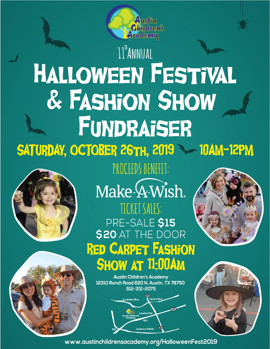

# 11™ANNUAL **HALLOWEEN FESTIVAL** & FASHION SHOW FUNDRAISER SATURDAY, OCTOBER 26TH, 2019 10AM-12PM



## PROCEEDS BENEFIT:

Make 4-Wish. TICKET SALES: PRE-SALE \$15<br>\$20 AT THE DOOR **RED CARPET FASHION SHOW AT 11:00AM** 





**Austin Children's Academy** 12310 Ranch Road 620 N, Austin, TX 78750 512-331-2075





www.austinchildrensacademy.org/HalloweenFest2019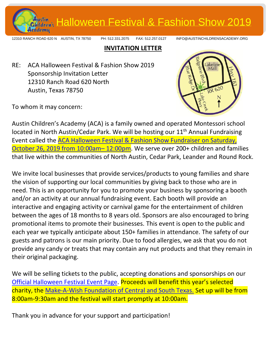

12310 RANCH ROAD 620 N AUSTIN, TX 78750 PH: 512.331.2075 FAX: 512.257.0127 INFO@AUSTINCHILDRENSACADEMY.ORG

#### **INVITATION LETTER**

RE: ACA Halloween Festival & Fashion Show 2019 Sponsorship Invitation Letter 12310 Ranch Road 620 North Austin, Texas 78750



To whom it may concern:

Austin Children's Academy (ACA) is a family owned and operated Montessori school located in North Austin/Cedar Park. We will be hosting our 11<sup>th</sup> Annual Fundraising Event called the [ACA Halloween Festival & Fashion Show](https://austinchildrensacademy.org/halloween-festival-fashion-show-fundraiser/) Fundraiser on Saturday, [October 26, 2019](https://austinchildrensacademy.org/halloween-festival-fashion-show-fundraiser/) from 10:00am– 12:00pm. We serve over 200+ children and families that live within the communities of North Austin, Cedar Park, Leander and Round Rock.

We invite local businesses that provide services/products to young families and share the vision of supporting our local communities by giving back to those who are in need. This is an opportunity for you to promote your business by sponsoring a booth and/or an activity at our annual fundraising event. Each booth will provide an interactive and engaging activity or carnival game for the entertainment of children between the ages of 18 months to 8 years old. Sponsors are also encouraged to bring promotional items to promote their businesses. This event is open to the public and each year we typically anticipate about 150+ families in attendance. The safety of our guests and patrons is our main priority. Due to food allergies, we ask that you do not provide any candy or treats that may contain any nut products and that they remain in their original packaging.

We will be selling tickets to the public, accepting donations and sponsorships on our [Official Halloween Festival Event Page.](https://austinchildrensacademy.org/halloween-festival-fashion-show-fundraiser/) Proceeds will benefit this year's selected charity, the Make-A-Wish Foundation [of Central and South Texas.](https://cstx.wish.org/) Set up will be from 8:00am-9:30am and the festival will start promptly at 10:00am.

Thank you in advance for your support and participation!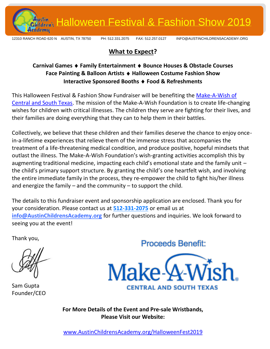

السنة) Halloween Festival & Fashion Show 2019<br>وأمام المسلم

12310 RANCH ROAD 620 N AUSTIN, TX 78750 PH: 512.331.2075 FAX: 512.257.0127 INFO@AUSTINCHILDRENSACADEMY.ORG

#### **What to Expect?**

#### **Carnival Games Family Entertainment Bounce Houses & Obstacle Courses Face Painting & Balloon Artists Halloween Costume Fashion Show Interactive Sponsored Booths Food & Refreshments**

This Halloween Festival & Fashion Show Fundraiser will be benefiting the [Make-A-Wish of](https://cstx.wish.org/)  [Central and South Texas.](https://cstx.wish.org/) The mission of the Make-A-Wish Foundation is to create life-changing wishes for children with critical illnesses. The children they serve are fighting for their lives, and their families are doing everything that they can to help them in their battles.

Collectively, we believe that these children and their families deserve the chance to enjoy oncein-a-lifetime experiences that relieve them of the immense stress that accompanies the treatment of a life-threatening medical condition, and produce positive, hopeful mindsets that outlast the illness. The Make-A-Wish Foundation's wish-granting activities accomplish this by augmenting traditional medicine, impacting each child's emotional state and the family unit – the child's primary support structure. By granting the child's one heartfelt wish, and involving the entire immediate family in the process, they re-empower the child to fight his/her illness and energize the family  $-$  and the community  $-$  to support the child.

The details to this fundraiser event and sponsorship application are enclosed. Thank you for your consideration. Please contact us at **512-331-2075** or email us at **[info@AustinChildrensAcademy.org](mailto:info@AustinChildrensAcademy.org)** for further questions and inquiries. We look forward to seeing you at the event!

Thank you,

Sam Gupta Founder/CEO

**Proceeds Benefit:** 



**For More Details of the Event and Pre-sale Wristbands, Please Visit our Website:**

[www.AustinChildrensAcademy.org/HalloweenFest2019](https://austinchildrensacademy.org/halloweenfest2019/)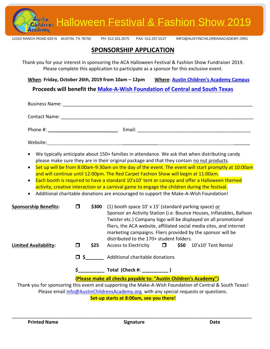

- We typically anticipate about 150+ families in attendance. We ask that when distributing candy please make sure they are in their original package and that they contain no nut products.
- Set up will be from 8:00am-9:30am on the day of the event. The event will start promptly at 10:00am and will continue until 12:00pm. The Red Carpet Fashion Show will begin at 11:00am.
- Each booth is required to have a standard 10'x10' tent or canopy and offer a Halloween themed activity, creative interaction or a carnival game to engage the children during the festival.
- Additional charitable donations are encouraged to support the Make-A-Wish Foundation!

| <b>Sponsorship Benefits:</b> |     | \$300 | (1) booth space $10'$ x $15'$ (standard parking space) or<br>Sponsor an Activity Station (i.e. Bounce Houses, Inflatables, Balloon<br>Twister etc.) Company logo will be displayed on all promotional<br>fliers, the ACA website, affiliated social media sites, and internet<br>marketing campaigns. Fliers provided by the sponsor will be<br>distributed to the 170+ student folders. |  |
|------------------------------|-----|-------|------------------------------------------------------------------------------------------------------------------------------------------------------------------------------------------------------------------------------------------------------------------------------------------------------------------------------------------------------------------------------------------|--|
| <b>Limited Availability:</b> | l I | \$25  | $$50$ $10'$ x $10'$ Tent Rental<br>Access to Electricity $\Box$                                                                                                                                                                                                                                                                                                                          |  |
|                              |     |       | $\Box$ \$ Additional charitable donations                                                                                                                                                                                                                                                                                                                                                |  |
|                              |     |       | Total (Check #: )                                                                                                                                                                                                                                                                                                                                                                        |  |
|                              |     |       | (Please make all checks payable to: "Austin Children's Academy")                                                                                                                                                                                                                                                                                                                         |  |
|                              |     |       | Thank you for sponsoring this event and supporting the Make-A-Wish Foundation of Central & South Texas!                                                                                                                                                                                                                                                                                  |  |
|                              |     |       |                                                                                                                                                                                                                                                                                                                                                                                          |  |

Please emai[l info@AustinChildrensAcademy.org](mailto:info@AustinChildrensAcademy.org) with any special requests or questions.

**Set-up starts at 8:00am, see you there!**

 $\mathcal{L}_\mathcal{L} = \mathcal{L}_\mathcal{L} = \mathcal{L}_\mathcal{L} = \mathcal{L}_\mathcal{L} = \mathcal{L}_\mathcal{L} = \mathcal{L}_\mathcal{L} = \mathcal{L}_\mathcal{L} = \mathcal{L}_\mathcal{L} = \mathcal{L}_\mathcal{L} = \mathcal{L}_\mathcal{L} = \mathcal{L}_\mathcal{L} = \mathcal{L}_\mathcal{L} = \mathcal{L}_\mathcal{L} = \mathcal{L}_\mathcal{L} = \mathcal{L}_\mathcal{L} = \mathcal{L}_\mathcal{L} = \mathcal{L}_\mathcal{L}$